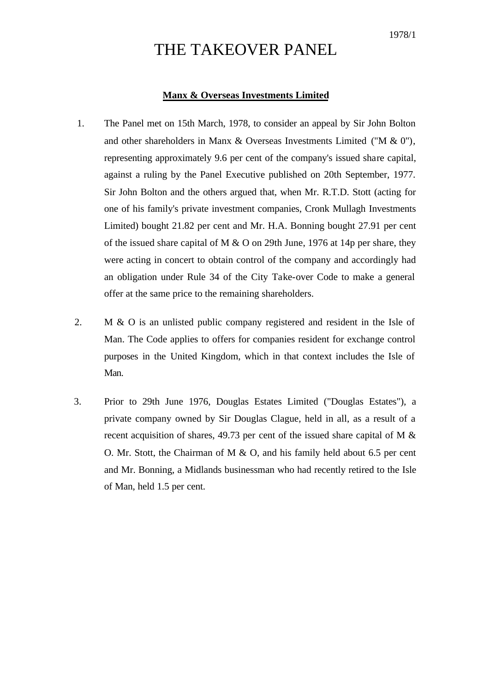## THE TAKEOVER PANEL

## **Manx & Overseas Investments Limited**

- 1. The Panel met on 15th March, 1978, to consider an appeal by Sir John Bolton and other shareholders in Manx & Overseas Investments Limited (" $M \& 0$ "), representing approximately 9.6 per cent of the company's issued share capital, against a ruling by the Panel Executive published on 20th September, 1977. Sir John Bolton and the others argued that, when Mr. R.T.D. Stott (acting for one of his family's private investment companies, Cronk Mullagh Investments Limited) bought 21.82 per cent and Mr. H.A. Bonning bought 27.91 per cent of the issued share capital of M  $\&$  O on 29th June, 1976 at 14p per share, they were acting in concert to obtain control of the company and accordingly had an obligation under Rule 34 of the City Take-over Code to make a general offer at the same price to the remaining shareholders.
- 2. M & O is an unlisted public company registered and resident in the Isle of Man. The Code applies to offers for companies resident for exchange control purposes in the United Kingdom, which in that context includes the Isle of Man.
- 3. Prior to 29th June 1976, Douglas Estates Limited ("Douglas Estates"), a private company owned by Sir Douglas Clague, held in all, as a result of a recent acquisition of shares, 49.73 per cent of the issued share capital of M & O. Mr. Stott, the Chairman of M & O, and his family held about 6.5 per cent and Mr. Bonning, a Midlands businessman who had recently retired to the Isle of Man, held 1.5 per cent.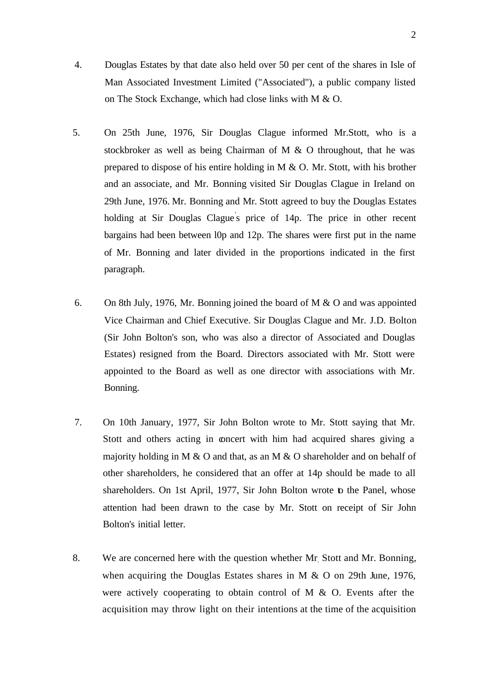- 4. Douglas Estates by that date also held over 50 per cent of the shares in Isle of Man Associated Investment Limited ("Associated"), a public company listed on The Stock Exchange, which had close links with M & O.
- 5. On 25th June, 1976, Sir Douglas Clague informed Mr.Stott, who is a stockbroker as well as being Chairman of M & O throughout, that he was prepared to dispose of his entire holding in M & O. Mr. Stott, with his brother and an associate, and Mr. Bonning visited Sir Douglas Clague in Ireland on 29th June, 1976. Mr. Bonning and Mr. Stott agreed to buy the Douglas Estates holding at Sir Douglas Clague' s price of 14p. The price in other recent bargains had been between l0p and 12p. The shares were first put in the name of Mr. Bonning and later divided in the proportions indicated in the first paragraph.
- 6. On 8th July, 1976, Mr. Bonning joined the board of M & O and was appointed Vice Chairman and Chief Executive. Sir Douglas Clague and Mr. J.D. Bolton (Sir John Bolton's son, who was also a director of Associated and Douglas Estates) resigned from the Board. Directors associated with Mr. Stott were appointed to the Board as well as one director with associations with Mr. Bonning.
- 7. On 10th January, 1977, Sir John Bolton wrote to Mr. Stott saying that Mr. Stott and others acting in concert with him had acquired shares giving a majority holding in M  $\&$  O and that, as an M  $\&$  O shareholder and on behalf of other shareholders, he considered that an offer at 14p should be made to all shareholders. On 1st April, 1977, Sir John Bolton wrote to the Panel, whose attention had been drawn to the case by Mr. Stott on receipt of Sir John Bolton's initial letter.
- 8. We are concerned here with the question whether Mr. Stott and Mr. Bonning, when acquiring the Douglas Estates shares in M & O on 29th June, 1976, were actively cooperating to obtain control of M  $\&$  O. Events after the acquisition may throw light on their intentions at the time of the acquisition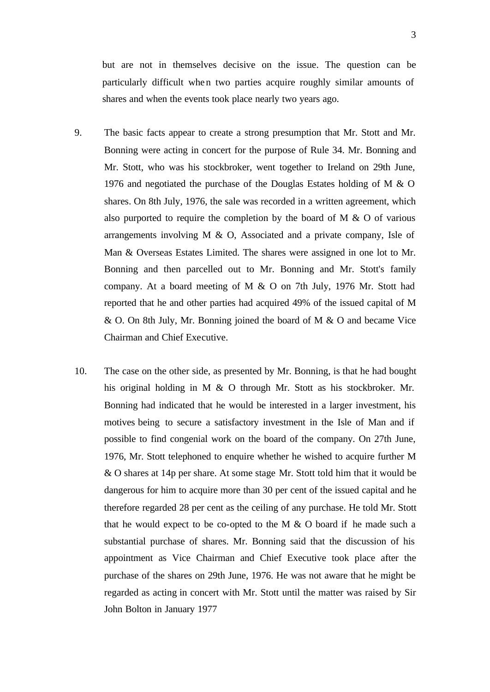but are not in themselves decisive on the issue. The question can be particularly difficult when two parties acquire roughly similar amounts of shares and when the events took place nearly two years ago.

- 9. The basic facts appear to create a strong presumption that Mr. Stott and Mr. Bonning were acting in concert for the purpose of Rule 34. Mr. Bonning and Mr. Stott, who was his stockbroker, went together to Ireland on 29th June, 1976 and negotiated the purchase of the Douglas Estates holding of M & O shares. On 8th July, 1976, the sale was recorded in a written agreement, which also purported to require the completion by the board of M & O of various arrangements involving M & O, Associated and a private company, Isle of Man & Overseas Estates Limited. The shares were assigned in one lot to Mr. Bonning and then parcelled out to Mr. Bonning and Mr. Stott's family company. At a board meeting of M & O on 7th July, 1976 Mr. Stott had reported that he and other parties had acquired 49% of the issued capital of M & O. On 8th July, Mr. Bonning joined the board of M & O and became Vice Chairman and Chief Executive.
- 10. The case on the other side, as presented by Mr. Bonning, is that he had bought his original holding in M & O through Mr. Stott as his stockbroker. Mr. Bonning had indicated that he would be interested in a larger investment, his motives being to secure a satisfactory investment in the Isle of Man and if possible to find congenial work on the board of the company. On 27th June, 1976, Mr. Stott telephoned to enquire whether he wished to acquire further M & O shares at 14p per share. At some stage Mr. Stott told him that it would be dangerous for him to acquire more than 30 per cent of the issued capital and he therefore regarded 28 per cent as the ceiling of any purchase. He told Mr. Stott that he would expect to be co-opted to the M  $\&$  O board if he made such a substantial purchase of shares. Mr. Bonning said that the discussion of his appointment as Vice Chairman and Chief Executive took place after the purchase of the shares on 29th June, 1976. He was not aware that he might be regarded as acting in concert with Mr. Stott until the matter was raised by Sir John Bolton in January 1977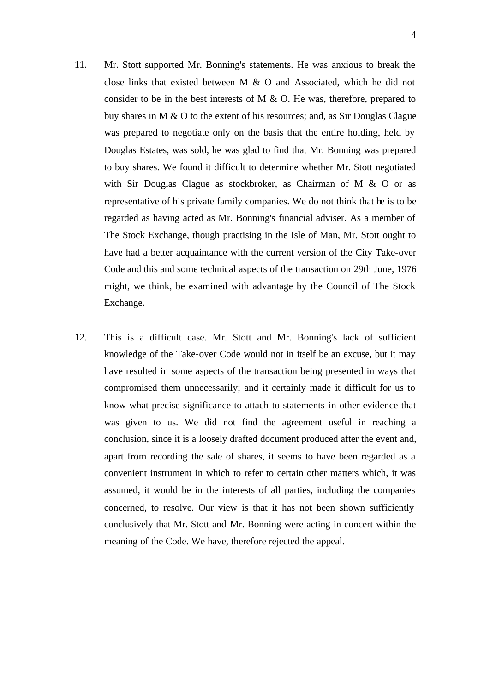- 11. Mr. Stott supported Mr. Bonning's statements. He was anxious to break the close links that existed between M  $\&$  O and Associated, which he did not consider to be in the best interests of M  $\&$  O. He was, therefore, prepared to buy shares in M & O to the extent of his resources; and, as Sir Douglas Clague was prepared to negotiate only on the basis that the entire holding, held by Douglas Estates, was sold, he was glad to find that Mr. Bonning was prepared to buy shares. We found it difficult to determine whether Mr. Stott negotiated with Sir Douglas Clague as stockbroker, as Chairman of M & O or as representative of his private family companies. We do not think that he is to be regarded as having acted as Mr. Bonning's financial adviser. As a member of The Stock Exchange, though practising in the Isle of Man, Mr. Stott ought to have had a better acquaintance with the current version of the City Take-over Code and this and some technical aspects of the transaction on 29th June, 1976 might, we think, be examined with advantage by the Council of The Stock Exchange.
- 12. This is a difficult case. Mr. Stott and Mr. Bonning's lack of sufficient knowledge of the Take-over Code would not in itself be an excuse, but it may have resulted in some aspects of the transaction being presented in ways that compromised them unnecessarily; and it certainly made it difficult for us to know what precise significance to attach to statements in other evidence that was given to us. We did not find the agreement useful in reaching a conclusion, since it is a loosely drafted document produced after the event and, apart from recording the sale of shares, it seems to have been regarded as a convenient instrument in which to refer to certain other matters which, it was assumed, it would be in the interests of all parties, including the companies concerned, to resolve. Our view is that it has not been shown sufficiently conclusively that Mr. Stott and Mr. Bonning were acting in concert within the meaning of the Code. We have, therefore rejected the appeal.